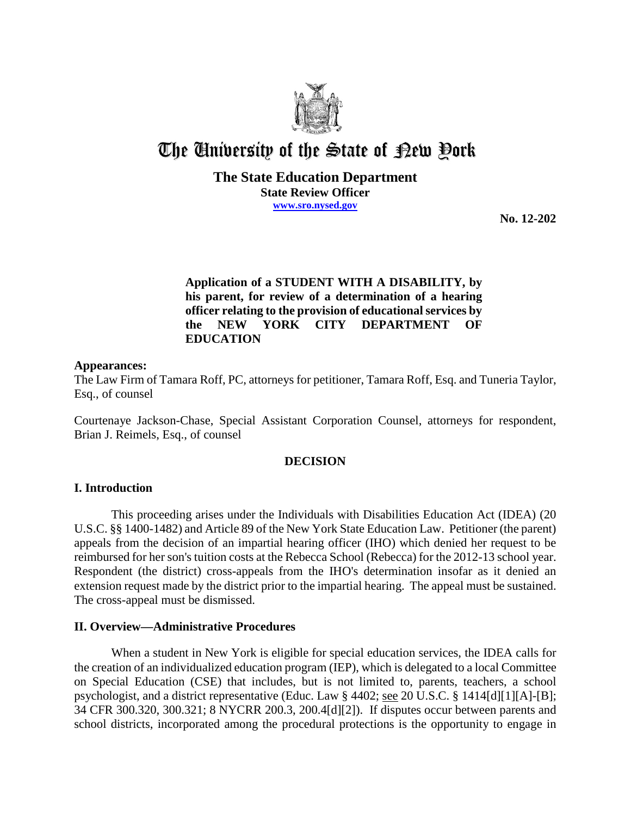

# The University of the State of Pew Pork

## **The State Education Department State Review Officer www.sro.nysed.gov**

**No. 12-202**

# **Application of a STUDENT WITH A DISABILITY, by his parent, for review of a determination of a hearing officer relating to the provision of educational services by the NEW YORK CITY DEPARTMENT OF EDUCATION**

# **Appearances:**

The Law Firm of Tamara Roff, PC, attorneys for petitioner, Tamara Roff, Esq. and Tuneria Taylor, Esq., of counsel

Courtenaye Jackson-Chase, Special Assistant Corporation Counsel, attorneys for respondent, Brian J. Reimels, Esq., of counsel

## **DECISION**

## **I. Introduction**

This proceeding arises under the Individuals with Disabilities Education Act (IDEA) (20 U.S.C. §§ 1400-1482) and Article 89 of the New York State Education Law. Petitioner (the parent) appeals from the decision of an impartial hearing officer (IHO) which denied her request to be reimbursed for her son's tuition costs at the Rebecca School (Rebecca) for the 2012-13 school year. Respondent (the district) cross-appeals from the IHO's determination insofar as it denied an extension request made by the district prior to the impartial hearing. The appeal must be sustained. The cross-appeal must be dismissed.

## **II. Overview—Administrative Procedures**

When a student in New York is eligible for special education services, the IDEA calls for the creation of an individualized education program (IEP), which is delegated to a local Committee on Special Education (CSE) that includes, but is not limited to, parents, teachers, a school psychologist, and a district representative (Educ. Law § 4402; see 20 U.S.C. § 1414[d][1][A]-[B]; 34 CFR 300.320, 300.321; 8 NYCRR 200.3, 200.4[d][2]). If disputes occur between parents and school districts, incorporated among the procedural protections is the opportunity to engage in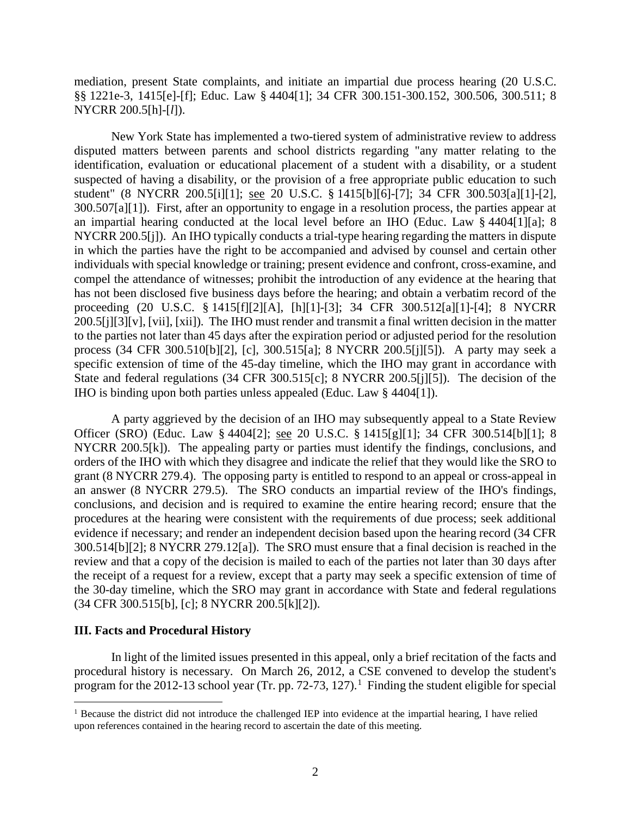mediation, present State complaints, and initiate an impartial due process hearing (20 U.S.C. §§ 1221e-3, 1415[e]-[f]; Educ. Law § 4404[1]; 34 CFR 300.151-300.152, 300.506, 300.511; 8 NYCRR 200.5[h]-[*l*]).

New York State has implemented a two-tiered system of administrative review to address disputed matters between parents and school districts regarding "any matter relating to the identification, evaluation or educational placement of a student with a disability, or a student suspected of having a disability, or the provision of a free appropriate public education to such student" (8 NYCRR 200.5[i][1]; see 20 U.S.C. § 1415[b][6]-[7]; 34 CFR 300.503[a][1]-[2], 300.507[a][1]). First, after an opportunity to engage in a resolution process, the parties appear at an impartial hearing conducted at the local level before an IHO (Educ. Law § 4404[1][a]; 8 NYCRR 200.5[j]). An IHO typically conducts a trial-type hearing regarding the matters in dispute in which the parties have the right to be accompanied and advised by counsel and certain other individuals with special knowledge or training; present evidence and confront, cross-examine, and compel the attendance of witnesses; prohibit the introduction of any evidence at the hearing that has not been disclosed five business days before the hearing; and obtain a verbatim record of the proceeding (20 U.S.C. § 1415[f][2][A], [h][1]-[3]; 34 CFR 300.512[a][1]-[4]; 8 NYCRR 200.5[j][3][v], [vii], [xii]). The IHO must render and transmit a final written decision in the matter to the parties not later than 45 days after the expiration period or adjusted period for the resolution process (34 CFR 300.510[b][2], [c], 300.515[a]; 8 NYCRR 200.5[j][5]). A party may seek a specific extension of time of the 45-day timeline, which the IHO may grant in accordance with State and federal regulations (34 CFR 300.515[c]; 8 NYCRR 200.5[j][5]). The decision of the IHO is binding upon both parties unless appealed (Educ. Law § 4404[1]).

A party aggrieved by the decision of an IHO may subsequently appeal to a State Review Officer (SRO) (Educ. Law § 4404[2]; see 20 U.S.C. § 1415[g][1]; 34 CFR 300.514[b][1]; 8 NYCRR 200.5[k]). The appealing party or parties must identify the findings, conclusions, and orders of the IHO with which they disagree and indicate the relief that they would like the SRO to grant (8 NYCRR 279.4). The opposing party is entitled to respond to an appeal or cross-appeal in an answer (8 NYCRR 279.5). The SRO conducts an impartial review of the IHO's findings, conclusions, and decision and is required to examine the entire hearing record; ensure that the procedures at the hearing were consistent with the requirements of due process; seek additional evidence if necessary; and render an independent decision based upon the hearing record (34 CFR 300.514[b][2]; 8 NYCRR 279.12[a]). The SRO must ensure that a final decision is reached in the review and that a copy of the decision is mailed to each of the parties not later than 30 days after the receipt of a request for a review, except that a party may seek a specific extension of time of the 30-day timeline, which the SRO may grant in accordance with State and federal regulations (34 CFR 300.515[b], [c]; 8 NYCRR 200.5[k][2]).

## **III. Facts and Procedural History**

In light of the limited issues presented in this appeal, only a brief recitation of the facts and procedural history is necessary. On March 26, 2012, a CSE convened to develop the student's program for the 2012-13 school year (Tr. pp. 72-73, 127).<sup>1</sup> Finding the student eligible for special

<sup>&</sup>lt;sup>1</sup> Because the district did not introduce the challenged IEP into evidence at the impartial hearing, I have relied upon references contained in the hearing record to ascertain the date of this meeting.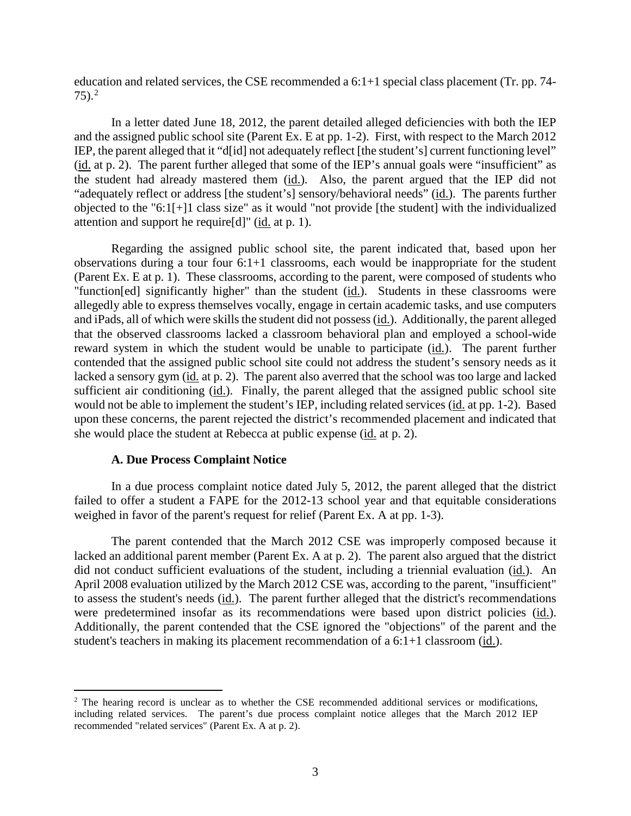education and related services, the CSE recommended a 6:1+1 special class placement (Tr. pp. 74-  $(75)^2$ 

In a letter dated June 18, 2012, the parent detailed alleged deficiencies with both the IEP and the assigned public school site (Parent Ex. E at pp. 1-2). First, with respect to the March 2012 IEP, the parent alleged that it "d[id] not adequately reflect [the student's] current functioning level" (id. at p. 2). The parent further alleged that some of the IEP's annual goals were "insufficient" as the student had already mastered them (id.). Also, the parent argued that the IEP did not "adequately reflect or address [the student's] sensory/behavioral needs" (id.). The parents further objected to the "6:1[+]1 class size" as it would "not provide [the student] with the individualized attention and support he require[d]" (id. at p. 1).

Regarding the assigned public school site, the parent indicated that, based upon her observations during a tour four 6:1+1 classrooms, each would be inappropriate for the student (Parent Ex. E at p. 1). These classrooms, according to the parent, were composed of students who "function[ed] significantly higher" than the student (id.). Students in these classrooms were allegedly able to express themselves vocally, engage in certain academic tasks, and use computers and iPads, all of which were skills the student did not possess(id.). Additionally, the parent alleged that the observed classrooms lacked a classroom behavioral plan and employed a school-wide reward system in which the student would be unable to participate (id.). The parent further contended that the assigned public school site could not address the student's sensory needs as it lacked a sensory gym (id. at p. 2). The parent also averred that the school was too large and lacked sufficient air conditioning (id.). Finally, the parent alleged that the assigned public school site would not be able to implement the student's IEP, including related services (id. at pp. 1-2). Based upon these concerns, the parent rejected the district's recommended placement and indicated that she would place the student at Rebecca at public expense (id. at p. 2).

#### **A. Due Process Complaint Notice**

In a due process complaint notice dated July 5, 2012, the parent alleged that the district failed to offer a student a FAPE for the 2012-13 school year and that equitable considerations weighed in favor of the parent's request for relief (Parent Ex. A at pp. 1-3).

The parent contended that the March 2012 CSE was improperly composed because it lacked an additional parent member (Parent Ex. A at p. 2). The parent also argued that the district did not conduct sufficient evaluations of the student, including a triennial evaluation (id.). An April 2008 evaluation utilized by the March 2012 CSE was, according to the parent, "insufficient" to assess the student's needs (id.). The parent further alleged that the district's recommendations were predetermined insofar as its recommendations were based upon district policies (id.). Additionally, the parent contended that the CSE ignored the "objections" of the parent and the student's teachers in making its placement recommendation of a 6:1+1 classroom (id.).

<sup>&</sup>lt;sup>2</sup> The hearing record is unclear as to whether the CSE recommended additional services or modifications, including related services. The parent's due process complaint notice alleges that the March 2012 IEP recommended "related services" (Parent Ex. A at p. 2).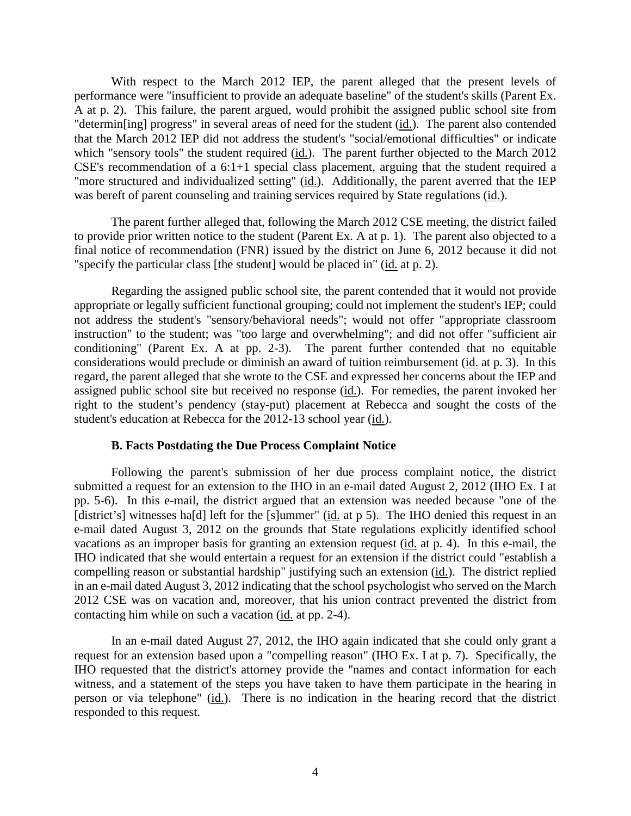With respect to the March 2012 IEP, the parent alleged that the present levels of performance were "insufficient to provide an adequate baseline" of the student's skills (Parent Ex. A at p. 2). This failure, the parent argued, would prohibit the assigned public school site from "determin[ing] progress" in several areas of need for the student (id.). The parent also contended that the March 2012 IEP did not address the student's "social/emotional difficulties" or indicate which "sensory tools" the student required (id.). The parent further objected to the March 2012 CSE's recommendation of a 6:1+1 special class placement, arguing that the student required a "more structured and individualized setting" (id.). Additionally, the parent averred that the IEP was bereft of parent counseling and training services required by State regulations (id.).

The parent further alleged that, following the March 2012 CSE meeting, the district failed to provide prior written notice to the student (Parent Ex. A at p. 1). The parent also objected to a final notice of recommendation (FNR) issued by the district on June 6, 2012 because it did not "specify the particular class [the student] would be placed in" (id. at p. 2).

Regarding the assigned public school site, the parent contended that it would not provide appropriate or legally sufficient functional grouping; could not implement the student's IEP; could not address the student's "sensory/behavioral needs"; would not offer "appropriate classroom instruction" to the student; was "too large and overwhelming"; and did not offer "sufficient air conditioning" (Parent Ex. A at pp. 2-3). The parent further contended that no equitable considerations would preclude or diminish an award of tuition reimbursement (id. at p. 3). In this regard, the parent alleged that she wrote to the CSE and expressed her concerns about the IEP and assigned public school site but received no response (id.). For remedies, the parent invoked her right to the student's pendency (stay-put) placement at Rebecca and sought the costs of the student's education at Rebecca for the 2012-13 school year (id.).

#### **B. Facts Postdating the Due Process Complaint Notice**

Following the parent's submission of her due process complaint notice, the district submitted a request for an extension to the IHO in an e-mail dated August 2, 2012 (IHO Ex. I at pp. 5-6). In this e-mail, the district argued that an extension was needed because "one of the [district's] witnesses ha[d] left for the [s]ummer" (id. at p 5). The IHO denied this request in an e-mail dated August 3, 2012 on the grounds that State regulations explicitly identified school vacations as an improper basis for granting an extension request (id. at p. 4). In this e-mail, the IHO indicated that she would entertain a request for an extension if the district could "establish a compelling reason or substantial hardship" justifying such an extension (id.). The district replied in an e-mail dated August 3, 2012 indicating that the school psychologist who served on the March 2012 CSE was on vacation and, moreover, that his union contract prevented the district from contacting him while on such a vacation (id. at pp. 2-4).

In an e-mail dated August 27, 2012, the IHO again indicated that she could only grant a request for an extension based upon a "compelling reason" (IHO Ex. I at p. 7). Specifically, the IHO requested that the district's attorney provide the "names and contact information for each witness, and a statement of the steps you have taken to have them participate in the hearing in person or via telephone" (id.). There is no indication in the hearing record that the district responded to this request.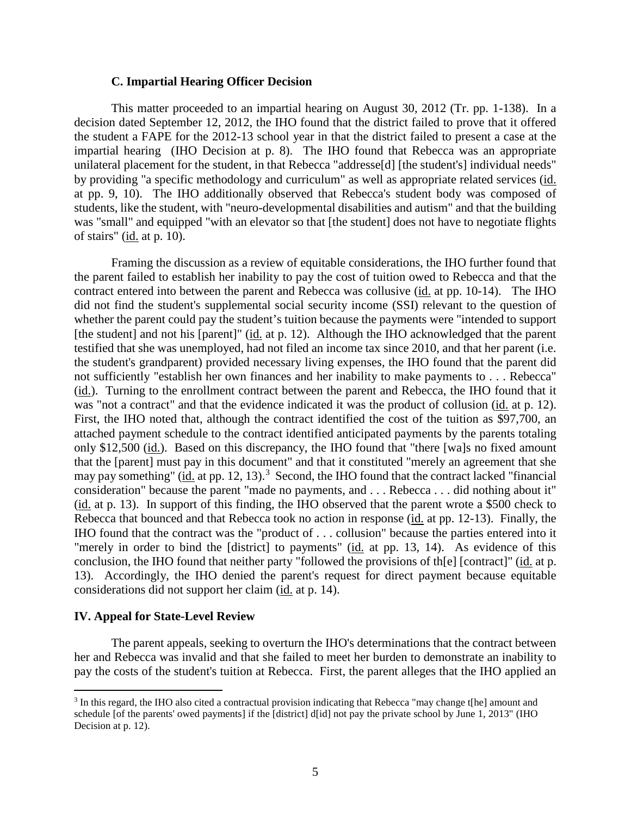#### **C. Impartial Hearing Officer Decision**

This matter proceeded to an impartial hearing on August 30, 2012 (Tr. pp. 1-138). In a decision dated September 12, 2012, the IHO found that the district failed to prove that it offered the student a FAPE for the 2012-13 school year in that the district failed to present a case at the impartial hearing (IHO Decision at p. 8). The IHO found that Rebecca was an appropriate unilateral placement for the student, in that Rebecca "addresse[d] [the student's] individual needs" by providing "a specific methodology and curriculum" as well as appropriate related services (id. at pp. 9, 10). The IHO additionally observed that Rebecca's student body was composed of students, like the student, with "neuro-developmental disabilities and autism" and that the building was "small" and equipped "with an elevator so that [the student] does not have to negotiate flights of stairs" (id. at p. 10).

Framing the discussion as a review of equitable considerations, the IHO further found that the parent failed to establish her inability to pay the cost of tuition owed to Rebecca and that the contract entered into between the parent and Rebecca was collusive (id. at pp. 10-14). The IHO did not find the student's supplemental social security income (SSI) relevant to the question of whether the parent could pay the student's tuition because the payments were "intended to support [the student] and not his [parent]" (id. at p. 12). Although the IHO acknowledged that the parent testified that she was unemployed, had not filed an income tax since 2010, and that her parent (i.e. the student's grandparent) provided necessary living expenses, the IHO found that the parent did not sufficiently "establish her own finances and her inability to make payments to . . . Rebecca" (id.). Turning to the enrollment contract between the parent and Rebecca, the IHO found that it was "not a contract" and that the evidence indicated it was the product of collusion (id. at p. 12). First, the IHO noted that, although the contract identified the cost of the tuition as \$97,700, an attached payment schedule to the contract identified anticipated payments by the parents totaling only \$12,500 (id.). Based on this discrepancy, the IHO found that "there [wa]s no fixed amount that the [parent] must pay in this document" and that it constituted "merely an agreement that she may pay something" (*id.* at pp. 12, 13).<sup>3</sup> Second, the IHO found that the contract lacked "financial" consideration" because the parent "made no payments, and . . . Rebecca . . . did nothing about it" (id. at p. 13). In support of this finding, the IHO observed that the parent wrote a \$500 check to Rebecca that bounced and that Rebecca took no action in response (id. at pp. 12-13). Finally, the IHO found that the contract was the "product of . . . collusion" because the parties entered into it "merely in order to bind the [district] to payments" (id. at pp. 13, 14). As evidence of this conclusion, the IHO found that neither party "followed the provisions of th[e] [contract]" (id. at p. 13). Accordingly, the IHO denied the parent's request for direct payment because equitable considerations did not support her claim (id. at p. 14).

#### **IV. Appeal for State-Level Review**

The parent appeals, seeking to overturn the IHO's determinations that the contract between her and Rebecca was invalid and that she failed to meet her burden to demonstrate an inability to pay the costs of the student's tuition at Rebecca. First, the parent alleges that the IHO applied an

 <sup>3</sup> In this regard, the IHO also cited a contractual provision indicating that Rebecca "may change t[he] amount and schedule [of the parents' owed payments] if the [district] d[id] not pay the private school by June 1, 2013" (IHO Decision at p. 12).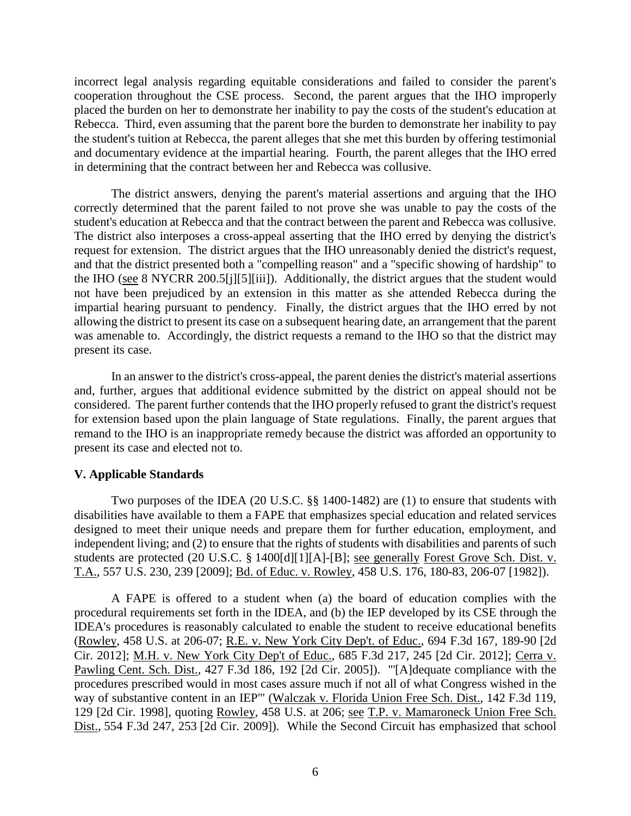incorrect legal analysis regarding equitable considerations and failed to consider the parent's cooperation throughout the CSE process. Second, the parent argues that the IHO improperly placed the burden on her to demonstrate her inability to pay the costs of the student's education at Rebecca. Third, even assuming that the parent bore the burden to demonstrate her inability to pay the student's tuition at Rebecca, the parent alleges that she met this burden by offering testimonial and documentary evidence at the impartial hearing. Fourth, the parent alleges that the IHO erred in determining that the contract between her and Rebecca was collusive.

The district answers, denying the parent's material assertions and arguing that the IHO correctly determined that the parent failed to not prove she was unable to pay the costs of the student's education at Rebecca and that the contract between the parent and Rebecca was collusive. The district also interposes a cross-appeal asserting that the IHO erred by denying the district's request for extension. The district argues that the IHO unreasonably denied the district's request, and that the district presented both a "compelling reason" and a "specific showing of hardship" to the IHO (see 8 NYCRR 200.5[j][5][iii]). Additionally, the district argues that the student would not have been prejudiced by an extension in this matter as she attended Rebecca during the impartial hearing pursuant to pendency. Finally, the district argues that the IHO erred by not allowing the district to present its case on a subsequent hearing date, an arrangement that the parent was amenable to. Accordingly, the district requests a remand to the IHO so that the district may present its case.

In an answer to the district's cross-appeal, the parent denies the district's material assertions and, further, argues that additional evidence submitted by the district on appeal should not be considered. The parent further contends that the IHO properly refused to grant the district's request for extension based upon the plain language of State regulations. Finally, the parent argues that remand to the IHO is an inappropriate remedy because the district was afforded an opportunity to present its case and elected not to.

## **V. Applicable Standards**

Two purposes of the IDEA (20 U.S.C. §§ 1400-1482) are (1) to ensure that students with disabilities have available to them a FAPE that emphasizes special education and related services designed to meet their unique needs and prepare them for further education, employment, and independent living; and (2) to ensure that the rights of students with disabilities and parents of such students are protected (20 U.S.C. § 1400[d][1][A]-[B]; see generally Forest Grove Sch. Dist. v. T.A., 557 U.S. 230, 239 [2009]; Bd. of Educ. v. Rowley, 458 U.S. 176, 180-83, 206-07 [1982]).

A FAPE is offered to a student when (a) the board of education complies with the procedural requirements set forth in the IDEA, and (b) the IEP developed by its CSE through the IDEA's procedures is reasonably calculated to enable the student to receive educational benefits (Rowley, 458 U.S. at 206-07; R.E. v. New York City Dep't. of Educ., 694 F.3d 167, 189-90 [2d Cir. 2012]; M.H. v. New York City Dep't of Educ., 685 F.3d 217, 245 [2d Cir. 2012]; Cerra v. Pawling Cent. Sch. Dist., 427 F.3d 186, 192 [2d Cir. 2005]). "'[A]dequate compliance with the procedures prescribed would in most cases assure much if not all of what Congress wished in the way of substantive content in an IEP" (Walczak v. Florida Union Free Sch. Dist., 142 F.3d 119, 129 [2d Cir. 1998], quoting Rowley, 458 U.S. at 206; see T.P. v. Mamaroneck Union Free Sch. Dist., 554 F.3d 247, 253 [2d Cir. 2009]). While the Second Circuit has emphasized that school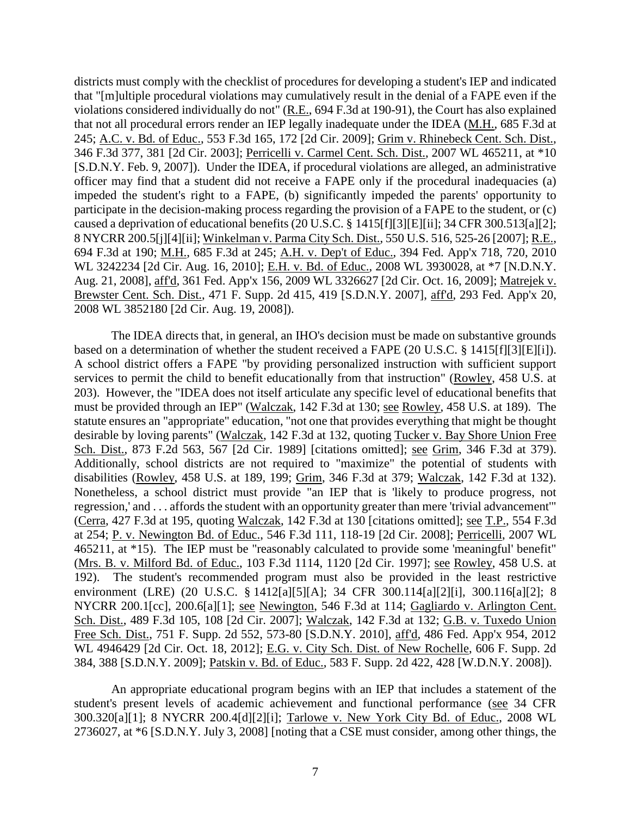districts must comply with the checklist of procedures for developing a student's IEP and indicated that "[m]ultiple procedural violations may cumulatively result in the denial of a FAPE even if the violations considered individually do not" (R.E., 694 F.3d at 190-91), the Court has also explained that not all procedural errors render an IEP legally inadequate under the IDEA (M.H., 685 F.3d at 245; A.C. v. Bd. of Educ., 553 F.3d 165, 172 [2d Cir. 2009]; Grim v. Rhinebeck Cent. Sch. Dist., 346 F.3d 377, 381 [2d Cir. 2003]; Perricelli v. Carmel Cent. Sch. Dist., 2007 WL 465211, at \*10 [S.D.N.Y. Feb. 9, 2007]). Under the IDEA, if procedural violations are alleged, an administrative officer may find that a student did not receive a FAPE only if the procedural inadequacies (a) impeded the student's right to a FAPE, (b) significantly impeded the parents' opportunity to participate in the decision-making process regarding the provision of a FAPE to the student, or (c) caused a deprivation of educational benefits (20 U.S.C. § 1415[f][3][E][ii]; 34 CFR 300.513[a][2]; 8 NYCRR 200.5[j][4][ii]; Winkelman v. Parma City Sch. Dist., 550 U.S. 516, 525-26 [2007]; R.E., 694 F.3d at 190; M.H., 685 F.3d at 245; A.H. v. Dep't of Educ., 394 Fed. App'x 718, 720, 2010 WL 3242234 [2d Cir. Aug. 16, 2010]; E.H. v. Bd. of Educ., 2008 WL 3930028, at \*7 [N.D.N.Y. Aug. 21, 2008], aff'd, 361 Fed. App'x 156, 2009 WL 3326627 [2d Cir. Oct. 16, 2009]; Matrejek v. Brewster Cent. Sch. Dist., 471 F. Supp. 2d 415, 419 [S.D.N.Y. 2007], aff'd, 293 Fed. App'x 20, 2008 WL 3852180 [2d Cir. Aug. 19, 2008]).

The IDEA directs that, in general, an IHO's decision must be made on substantive grounds based on a determination of whether the student received a FAPE (20 U.S.C. § 1415[f][3][E][i]). A school district offers a FAPE "by providing personalized instruction with sufficient support services to permit the child to benefit educationally from that instruction" (Rowley, 458 U.S. at 203). However, the "IDEA does not itself articulate any specific level of educational benefits that must be provided through an IEP" (Walczak, 142 F.3d at 130; see Rowley, 458 U.S. at 189). The statute ensures an "appropriate" education, "not one that provides everything that might be thought desirable by loving parents" (Walczak, 142 F.3d at 132, quoting Tucker v. Bay Shore Union Free Sch. Dist., 873 F.2d 563, 567 [2d Cir. 1989] [citations omitted]; see Grim, 346 F.3d at 379). Additionally, school districts are not required to "maximize" the potential of students with disabilities (Rowley, 458 U.S. at 189, 199; Grim, 346 F.3d at 379; Walczak, 142 F.3d at 132). Nonetheless, a school district must provide "an IEP that is 'likely to produce progress, not regression,' and . . . affords the student with an opportunity greater than mere 'trivial advancement'" (Cerra, 427 F.3d at 195, quoting Walczak, 142 F.3d at 130 [citations omitted]; see T.P., 554 F.3d at 254; P. v. Newington Bd. of Educ., 546 F.3d 111, 118-19 [2d Cir. 2008]; Perricelli, 2007 WL 465211, at \*15). The IEP must be "reasonably calculated to provide some 'meaningful' benefit" (Mrs. B. v. Milford Bd. of Educ., 103 F.3d 1114, 1120 [2d Cir. 1997]; see Rowley, 458 U.S. at 192). The student's recommended program must also be provided in the least restrictive environment (LRE) (20 U.S.C. § 1412[a][5][A]; 34 CFR 300.114[a][2][i], 300.116[a][2]; 8 NYCRR 200.1[cc], 200.6[a][1]; see Newington, 546 F.3d at 114; Gagliardo v. Arlington Cent. Sch. Dist., 489 F.3d 105, 108 [2d Cir. 2007]; Walczak, 142 F.3d at 132; G.B. v. Tuxedo Union Free Sch. Dist., 751 F. Supp. 2d 552, 573-80 [S.D.N.Y. 2010], aff'd, 486 Fed. App'x 954, 2012 WL 4946429 [2d Cir. Oct. 18, 2012]; E.G. v. City Sch. Dist. of New Rochelle, 606 F. Supp. 2d 384, 388 [S.D.N.Y. 2009]; Patskin v. Bd. of Educ., 583 F. Supp. 2d 422, 428 [W.D.N.Y. 2008]).

An appropriate educational program begins with an IEP that includes a statement of the student's present levels of academic achievement and functional performance (see 34 CFR 300.320[a][1]; 8 NYCRR 200.4[d][2][i]; Tarlowe v. New York City Bd. of Educ., 2008 WL 2736027, at \*6 [S.D.N.Y. July 3, 2008] [noting that a CSE must consider, among other things, the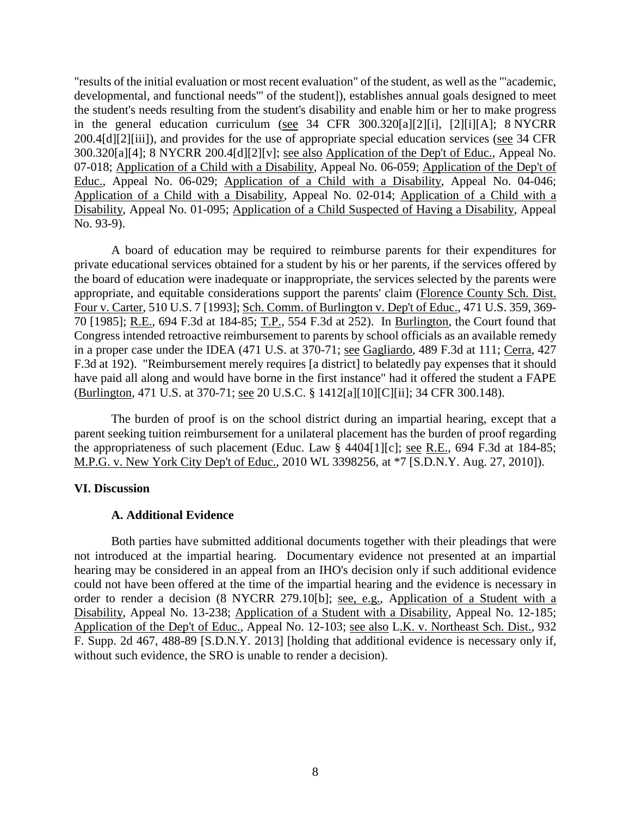"results of the initial evaluation or most recent evaluation" of the student, as well as the "'academic, developmental, and functional needs'" of the student]), establishes annual goals designed to meet the student's needs resulting from the student's disability and enable him or her to make progress in the general education curriculum (see 34 CFR 300.320[a][2][i], [2][i][A]; 8 NYCRR 200.4[d][2][iii]), and provides for the use of appropriate special education services (see 34 CFR 300.320[a][4]; 8 NYCRR 200.4[d][2][v]; see also Application of the Dep't of Educ., Appeal No. 07-018; Application of a Child with a Disability, Appeal No. 06-059; Application of the Dep't of Educ., Appeal No. 06-029; Application of a Child with a Disability, Appeal No. 04-046; Application of a Child with a Disability, Appeal No. 02-014; Application of a Child with a Disability, Appeal No. 01-095; Application of a Child Suspected of Having a Disability, Appeal No. 93-9).

A board of education may be required to reimburse parents for their expenditures for private educational services obtained for a student by his or her parents, if the services offered by the board of education were inadequate or inappropriate, the services selected by the parents were appropriate, and equitable considerations support the parents' claim (Florence County Sch. Dist. Four v. Carter, 510 U.S. 7 [1993]; Sch. Comm. of Burlington v. Dep't of Educ., 471 U.S. 359, 369- 70 [1985]; R.E., 694 F.3d at 184-85; T.P., 554 F.3d at 252). In Burlington, the Court found that Congress intended retroactive reimbursement to parents by school officials as an available remedy in a proper case under the IDEA (471 U.S. at 370-71; see Gagliardo, 489 F.3d at 111; Cerra, 427 F.3d at 192). "Reimbursement merely requires [a district] to belatedly pay expenses that it should have paid all along and would have borne in the first instance" had it offered the student a FAPE (Burlington, 471 U.S. at 370-71; see 20 U.S.C. § 1412[a][10][C][ii]; 34 CFR 300.148).

The burden of proof is on the school district during an impartial hearing, except that a parent seeking tuition reimbursement for a unilateral placement has the burden of proof regarding the appropriateness of such placement (Educ. Law § 4404[1][c]; see R.E., 694 F.3d at 184-85; M.P.G. v. New York City Dep't of Educ., 2010 WL 3398256, at \*7 [S.D.N.Y. Aug. 27, 2010]).

## **VI. Discussion**

# **A. Additional Evidence**

Both parties have submitted additional documents together with their pleadings that were not introduced at the impartial hearing. Documentary evidence not presented at an impartial hearing may be considered in an appeal from an IHO's decision only if such additional evidence could not have been offered at the time of the impartial hearing and the evidence is necessary in order to render a decision (8 NYCRR 279.10[b]; see, e.g., Application of a Student with a Disability, Appeal No. 13-238; Application of a Student with a Disability, Appeal No. 12-185; Application of the Dep't of Educ., Appeal No. 12-103; see also L.K. v. Northeast Sch. Dist., 932 F. Supp. 2d 467, 488-89 [S.D.N.Y. 2013] [holding that additional evidence is necessary only if, without such evidence, the SRO is unable to render a decision).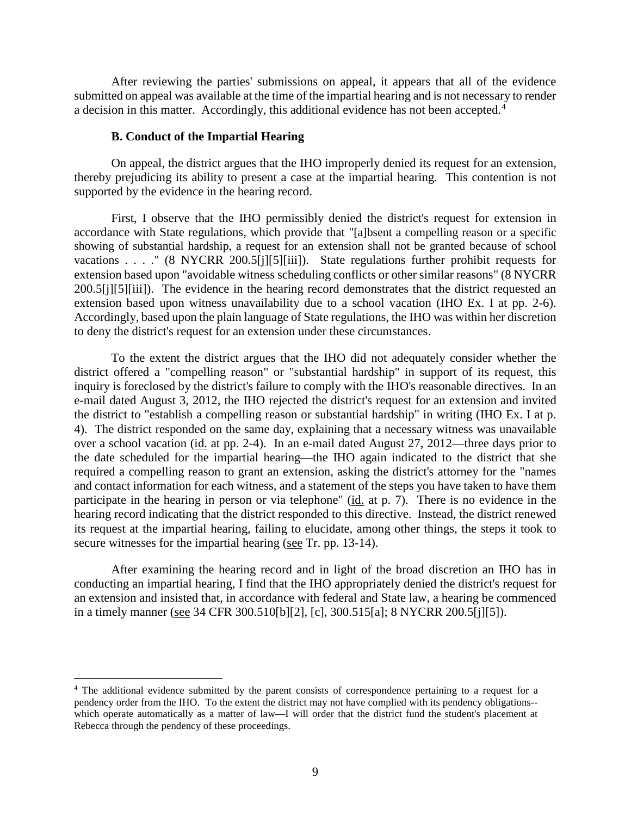After reviewing the parties' submissions on appeal, it appears that all of the evidence submitted on appeal was available at the time of the impartial hearing and is not necessary to render a decision in this matter. Accordingly, this additional evidence has not been accepted.<sup>4</sup>

#### **B. Conduct of the Impartial Hearing**

On appeal, the district argues that the IHO improperly denied its request for an extension, thereby prejudicing its ability to present a case at the impartial hearing. This contention is not supported by the evidence in the hearing record.

First, I observe that the IHO permissibly denied the district's request for extension in accordance with State regulations, which provide that "[a]bsent a compelling reason or a specific showing of substantial hardship, a request for an extension shall not be granted because of school vacations . . . ." (8 NYCRR 200.5[j][5][iii]). State regulations further prohibit requests for extension based upon "avoidable witness scheduling conflicts or other similar reasons" (8 NYCRR 200.5[j][5][iii]). The evidence in the hearing record demonstrates that the district requested an extension based upon witness unavailability due to a school vacation (IHO Ex. I at pp. 2-6). Accordingly, based upon the plain language of State regulations, the IHO was within her discretion to deny the district's request for an extension under these circumstances.

To the extent the district argues that the IHO did not adequately consider whether the district offered a "compelling reason" or "substantial hardship" in support of its request, this inquiry is foreclosed by the district's failure to comply with the IHO's reasonable directives. In an e-mail dated August 3, 2012, the IHO rejected the district's request for an extension and invited the district to "establish a compelling reason or substantial hardship" in writing (IHO Ex. I at p. 4). The district responded on the same day, explaining that a necessary witness was unavailable over a school vacation (id. at pp. 2-4). In an e-mail dated August 27, 2012—three days prior to the date scheduled for the impartial hearing—the IHO again indicated to the district that she required a compelling reason to grant an extension, asking the district's attorney for the "names and contact information for each witness, and a statement of the steps you have taken to have them participate in the hearing in person or via telephone" (id. at p. 7). There is no evidence in the hearing record indicating that the district responded to this directive. Instead, the district renewed its request at the impartial hearing, failing to elucidate, among other things, the steps it took to secure witnesses for the impartial hearing (see Tr. pp. 13-14).

After examining the hearing record and in light of the broad discretion an IHO has in conducting an impartial hearing, I find that the IHO appropriately denied the district's request for an extension and insisted that, in accordance with federal and State law, a hearing be commenced in a timely manner (see 34 CFR 300.510[b][2], [c], 300.515[a]; 8 NYCRR 200.5[j][5]).

 <sup>4</sup> The additional evidence submitted by the parent consists of correspondence pertaining to a request for a pendency order from the IHO. To the extent the district may not have complied with its pendency obligations- which operate automatically as a matter of law—I will order that the district fund the student's placement at Rebecca through the pendency of these proceedings.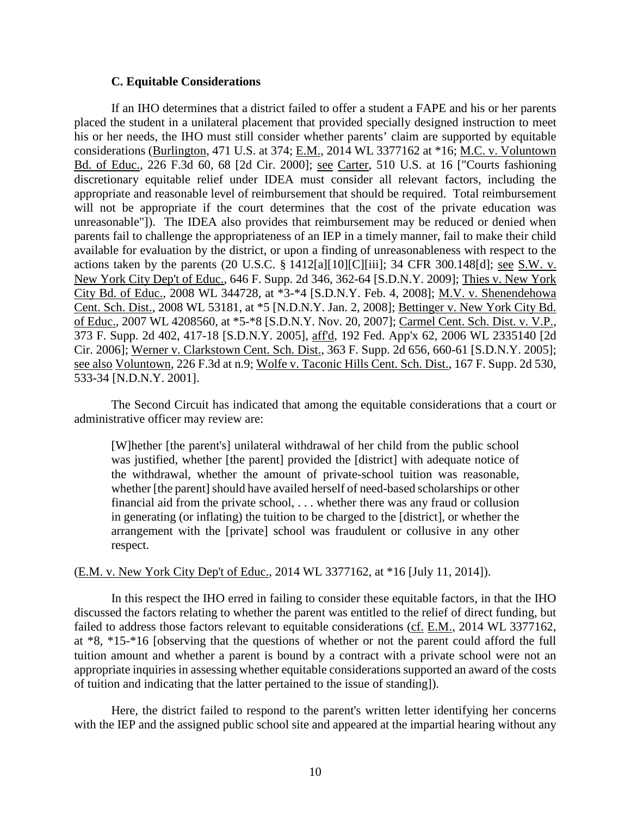## **C. Equitable Considerations**

If an IHO determines that a district failed to offer a student a FAPE and his or her parents placed the student in a unilateral placement that provided specially designed instruction to meet his or her needs, the IHO must still consider whether parents' claim are supported by equitable considerations (Burlington, 471 U.S. at 374; E.M., 2014 WL 3377162 at \*16; M.C. v. Voluntown Bd. of Educ., 226 F.3d 60, 68 [2d Cir. 2000]; see Carter, 510 U.S. at 16 ["Courts fashioning discretionary equitable relief under IDEA must consider all relevant factors, including the appropriate and reasonable level of reimbursement that should be required. Total reimbursement will not be appropriate if the court determines that the cost of the private education was unreasonable"]). The IDEA also provides that reimbursement may be reduced or denied when parents fail to challenge the appropriateness of an IEP in a timely manner, fail to make their child available for evaluation by the district, or upon a finding of unreasonableness with respect to the actions taken by the parents (20 U.S.C. § 1412[a][10][C][iii]; 34 CFR 300.148[d]; <u>see S.W. v.</u> New York City Dep't of Educ., 646 F. Supp. 2d 346, 362-64 [S.D.N.Y. 2009]; Thies v. New York City Bd. of Educ., 2008 WL 344728, at \*3-\*4 [S.D.N.Y. Feb. 4, 2008]; M.V. v. Shenendehowa Cent. Sch. Dist., 2008 WL 53181, at \*5 [N.D.N.Y. Jan. 2, 2008]; Bettinger v. New York City Bd. of Educ., 2007 WL 4208560, at \*5-\*8 [S.D.N.Y. Nov. 20, 2007]; Carmel Cent. Sch. Dist. v. V.P., 373 F. Supp. 2d 402, 417-18 [S.D.N.Y. 2005], aff'd, 192 Fed. App'x 62, 2006 WL 2335140 [2d Cir. 2006]; Werner v. Clarkstown Cent. Sch. Dist., 363 F. Supp. 2d 656, 660-61 [S.D.N.Y. 2005]; see also Voluntown, 226 F.3d at n.9; Wolfe v. Taconic Hills Cent. Sch. Dist., 167 F. Supp. 2d 530, 533-34 [N.D.N.Y. 2001].

The Second Circuit has indicated that among the equitable considerations that a court or administrative officer may review are:

[W]hether [the parent's] unilateral withdrawal of her child from the public school was justified, whether [the parent] provided the [district] with adequate notice of the withdrawal, whether the amount of private-school tuition was reasonable, whether [the parent] should have availed herself of need-based scholarships or other financial aid from the private school, . . . whether there was any fraud or collusion in generating (or inflating) the tuition to be charged to the [district], or whether the arrangement with the [private] school was fraudulent or collusive in any other respect.

#### (E.M. v. New York City Dep't of Educ., 2014 WL 3377162, at \*16 [July 11, 2014]).

In this respect the IHO erred in failing to consider these equitable factors, in that the IHO discussed the factors relating to whether the parent was entitled to the relief of direct funding, but failed to address those factors relevant to equitable considerations (cf. E.M., 2014 WL 3377162, at \*8, \*15-\*16 [observing that the questions of whether or not the parent could afford the full tuition amount and whether a parent is bound by a contract with a private school were not an appropriate inquiries in assessing whether equitable considerations supported an award of the costs of tuition and indicating that the latter pertained to the issue of standing]).

Here, the district failed to respond to the parent's written letter identifying her concerns with the IEP and the assigned public school site and appeared at the impartial hearing without any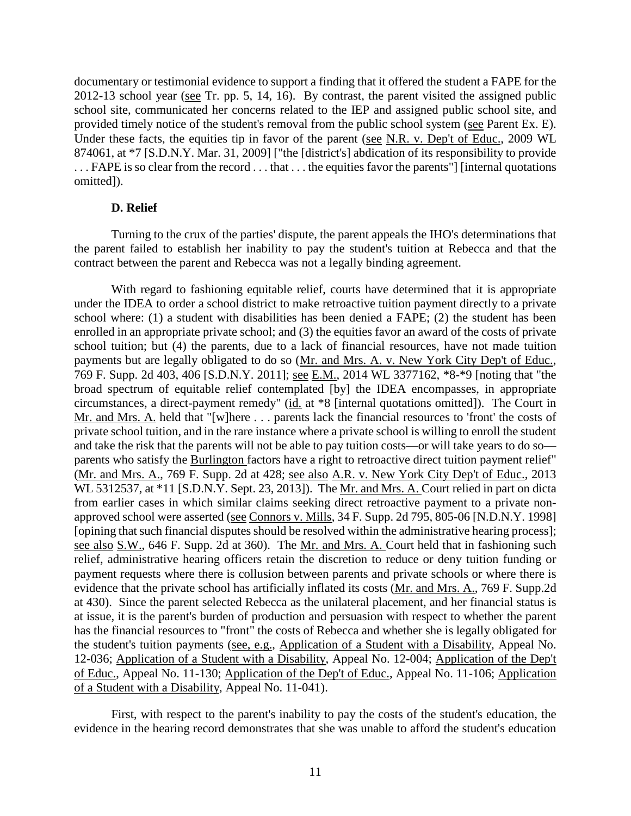documentary or testimonial evidence to support a finding that it offered the student a FAPE for the 2012-13 school year (see Tr. pp. 5, 14, 16). By contrast, the parent visited the assigned public school site, communicated her concerns related to the IEP and assigned public school site, and provided timely notice of the student's removal from the public school system (see Parent Ex. E). Under these facts, the equities tip in favor of the parent (see N.R. v. Dep't of Educ., 2009 WL 874061, at \*7 [S.D.N.Y. Mar. 31, 2009] ["the [district's] abdication of its responsibility to provide . . . FAPE is so clear from the record . . . that . . . the equities favor the parents"] [internal quotations omitted]).

## **D. Relief**

Turning to the crux of the parties' dispute, the parent appeals the IHO's determinations that the parent failed to establish her inability to pay the student's tuition at Rebecca and that the contract between the parent and Rebecca was not a legally binding agreement.

With regard to fashioning equitable relief, courts have determined that it is appropriate under the IDEA to order a school district to make retroactive tuition payment directly to a private school where: (1) a student with disabilities has been denied a FAPE; (2) the student has been enrolled in an appropriate private school; and (3) the equities favor an award of the costs of private school tuition; but (4) the parents, due to a lack of financial resources, have not made tuition payments but are legally obligated to do so (Mr. and Mrs. A. v. New York City Dep't of Educ., 769 F. Supp. 2d 403, 406 [S.D.N.Y. 2011]; see E.M., 2014 WL 3377162, \*8-\*9 [noting that "the broad spectrum of equitable relief contemplated [by] the IDEA encompasses, in appropriate circumstances, a direct-payment remedy" (id. at \*8 [internal quotations omitted]). The Court in Mr. and Mrs. A. held that "[w]here . . . parents lack the financial resources to 'front' the costs of private school tuition, and in the rare instance where a private school is willing to enroll the student and take the risk that the parents will not be able to pay tuition costs—or will take years to do so parents who satisfy the Burlington factors have a right to retroactive direct tuition payment relief" (Mr. and Mrs. A., 769 F. Supp. 2d at 428; see also A.R. v. New York City Dep't of Educ., 2013 WL 5312537, at \*11 [S.D.N.Y. Sept. 23, 2013]). The Mr. and Mrs. A. Court relied in part on dicta from earlier cases in which similar claims seeking direct retroactive payment to a private nonapproved school were asserted (see Connors v. Mills, 34 F. Supp. 2d 795, 805-06 [N.D.N.Y. 1998] [opining that such financial disputes should be resolved within the administrative hearing process]; see also S.W., 646 F. Supp. 2d at 360). The Mr. and Mrs. A. Court held that in fashioning such relief, administrative hearing officers retain the discretion to reduce or deny tuition funding or payment requests where there is collusion between parents and private schools or where there is evidence that the private school has artificially inflated its costs (Mr. and Mrs. A., 769 F. Supp.2d at 430). Since the parent selected Rebecca as the unilateral placement, and her financial status is at issue, it is the parent's burden of production and persuasion with respect to whether the parent has the financial resources to "front" the costs of Rebecca and whether she is legally obligated for the student's tuition payments (see, e.g., Application of a Student with a Disability, Appeal No. 12-036; Application of a Student with a Disability, Appeal No. 12-004; Application of the Dep't of Educ., Appeal No. 11-130; Application of the Dep't of Educ., Appeal No. 11-106; Application of a Student with a Disability, Appeal No. 11-041).

First, with respect to the parent's inability to pay the costs of the student's education, the evidence in the hearing record demonstrates that she was unable to afford the student's education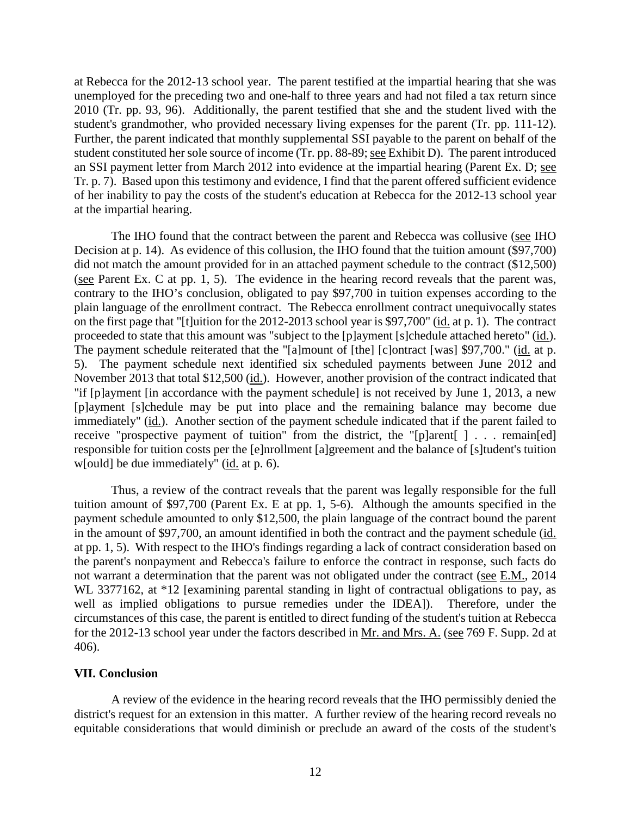at Rebecca for the 2012-13 school year. The parent testified at the impartial hearing that she was unemployed for the preceding two and one-half to three years and had not filed a tax return since 2010 (Tr. pp. 93, 96). Additionally, the parent testified that she and the student lived with the student's grandmother, who provided necessary living expenses for the parent (Tr. pp. 111-12). Further, the parent indicated that monthly supplemental SSI payable to the parent on behalf of the student constituted her sole source of income (Tr. pp. 88-89; see Exhibit D). The parent introduced an SSI payment letter from March 2012 into evidence at the impartial hearing (Parent Ex. D; see Tr. p. 7). Based upon this testimony and evidence, I find that the parent offered sufficient evidence of her inability to pay the costs of the student's education at Rebecca for the 2012-13 school year at the impartial hearing.

The IHO found that the contract between the parent and Rebecca was collusive (see IHO Decision at p. 14). As evidence of this collusion, the IHO found that the tuition amount (\$97,700) did not match the amount provided for in an attached payment schedule to the contract (\$12,500) (see Parent Ex. C at pp. 1, 5). The evidence in the hearing record reveals that the parent was, contrary to the IHO's conclusion, obligated to pay \$97,700 in tuition expenses according to the plain language of the enrollment contract. The Rebecca enrollment contract unequivocally states on the first page that "[t]uition for the 2012-2013 school year is \$97,700" (id. at p. 1). The contract proceeded to state that this amount was "subject to the [p]ayment [s]chedule attached hereto" (id.). The payment schedule reiterated that the "[a]mount of [the] [c]ontract [was] \$97,700." (id. at p. 5). The payment schedule next identified six scheduled payments between June 2012 and November 2013 that total \$12,500 (id.). However, another provision of the contract indicated that "if [p]ayment [in accordance with the payment schedule] is not received by June 1, 2013, a new [p]ayment [s]chedule may be put into place and the remaining balance may become due immediately" (id.). Another section of the payment schedule indicated that if the parent failed to receive "prospective payment of tuition" from the district, the "[p]arent[ ] . . . remain[ed] responsible for tuition costs per the [e]nrollment [a]greement and the balance of [s]tudent's tuition w[ould] be due immediately" (id. at p. 6).

Thus, a review of the contract reveals that the parent was legally responsible for the full tuition amount of \$97,700 (Parent Ex. E at pp. 1, 5-6). Although the amounts specified in the payment schedule amounted to only \$12,500, the plain language of the contract bound the parent in the amount of \$97,700, an amount identified in both the contract and the payment schedule (id. at pp. 1, 5). With respect to the IHO's findings regarding a lack of contract consideration based on the parent's nonpayment and Rebecca's failure to enforce the contract in response, such facts do not warrant a determination that the parent was not obligated under the contract (see E.M., 2014 WL 3377162, at \*12 [examining parental standing in light of contractual obligations to pay, as well as implied obligations to pursue remedies under the IDEA]). Therefore, under the circumstances of this case, the parent is entitled to direct funding of the student's tuition at Rebecca for the 2012-13 school year under the factors described in Mr. and Mrs. A. (see 769 F. Supp. 2d at 406).

## **VII. Conclusion**

A review of the evidence in the hearing record reveals that the IHO permissibly denied the district's request for an extension in this matter. A further review of the hearing record reveals no equitable considerations that would diminish or preclude an award of the costs of the student's